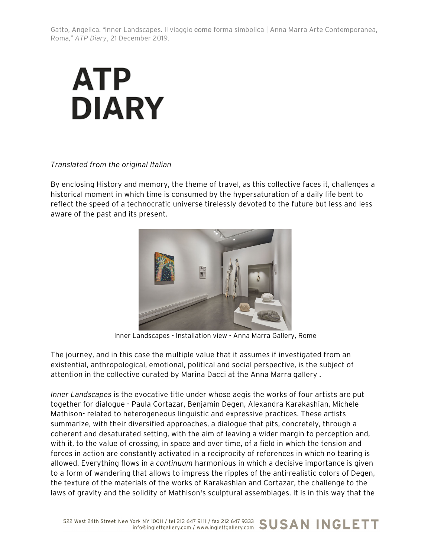

## *Translated from the original Italian*

By enclosing History and memory, the theme of travel, as this collective faces it, challenges a historical moment in which time is consumed by the hypersaturation of a daily life bent to reflect the speed of a technocratic universe tirelessly devoted to the future but less and less aware of the past and its present.



Inner Landscapes - Installation view - Anna Marra Gallery, Rome

The journey, and in this case the multiple value that it assumes if investigated from an existential, anthropological, emotional, political and social perspective, is the subject of attention in the collective curated by Marina Dacci at the Anna Marra gallery .

*Inner Landscapes* is the evocative title under whose aegis the works of four artists are put together for dialogue - Paula Cortazar, Benjamin Degen, Alexandra Karakashian, Michele Mathison- related to heterogeneous linguistic and expressive practices. These artists summarize, with their diversified approaches, a dialogue that pits, concretely, through a coherent and desaturated setting, with the aim of leaving a wider margin to perception and, with it, to the value of crossing, in space and over time, of a field in which the tension and forces in action are constantly activated in a reciprocity of references in which no tearing is allowed. Everything flows in a *continuum* harmonious in which a decisive importance is given to a form of wandering that allows to impress the ripples of the anti-realistic colors of Degen, the texture of the materials of the works of Karakashian and Cortazar, the challenge to the laws of gravity and the solidity of Mathison's sculptural assemblages. It is in this way that the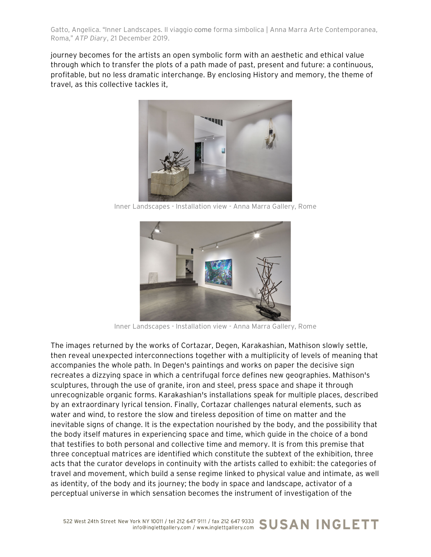journey becomes for the artists an open symbolic form with an aesthetic and ethical value through which to transfer the plots of a path made of past, present and future: a continuous, profitable, but no less dramatic interchange. By enclosing History and memory, the theme of travel, as this collective tackles it,



Inner Landscapes - Installation view - Anna Marra Gallery, Rome



Inner Landscapes - Installation view - Anna Marra Gallery, Rome

The images returned by the works of Cortazar, Degen, Karakashian, Mathison slowly settle, then reveal unexpected interconnections together with a multiplicity of levels of meaning that accompanies the whole path. In Degen's paintings and works on paper the decisive sign recreates a dizzying space in which a centrifugal force defines new geographies. Mathison's sculptures, through the use of granite, iron and steel, press space and shape it through unrecognizable organic forms. Karakashian's installations speak for multiple places, described by an extraordinary lyrical tension. Finally, Cortazar challenges natural elements, such as water and wind, to restore the slow and tireless deposition of time on matter and the inevitable signs of change. It is the expectation nourished by the body, and the possibility that the body itself matures in experiencing space and time, which guide in the choice of a bond that testifies to both personal and collective time and memory. It is from this premise that three conceptual matrices are identified which constitute the subtext of the exhibition, three acts that the curator develops in continuity with the artists called to exhibit: the categories of travel and movement, which build a sense regime linked to physical value and intimate, as well as identity, of the body and its journey; the body in space and landscape, activator of a perceptual universe in which sensation becomes the instrument of investigation of the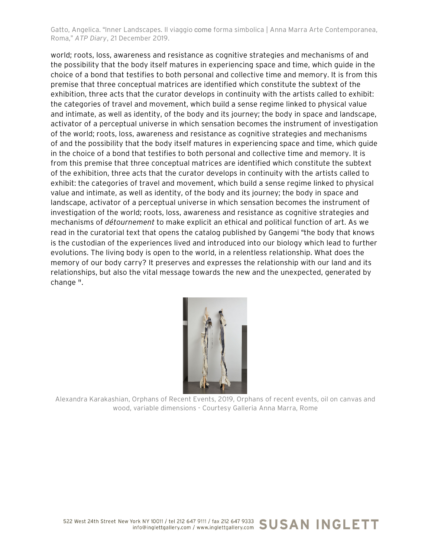world; roots, loss, awareness and resistance as cognitive strategies and mechanisms of and the possibility that the body itself matures in experiencing space and time, which guide in the choice of a bond that testifies to both personal and collective time and memory. It is from this premise that three conceptual matrices are identified which constitute the subtext of the exhibition, three acts that the curator develops in continuity with the artists called to exhibit: the categories of travel and movement, which build a sense regime linked to physical value and intimate, as well as identity, of the body and its journey; the body in space and landscape, activator of a perceptual universe in which sensation becomes the instrument of investigation of the world; roots, loss, awareness and resistance as cognitive strategies and mechanisms of and the possibility that the body itself matures in experiencing space and time, which guide in the choice of a bond that testifies to both personal and collective time and memory. It is from this premise that three conceptual matrices are identified which constitute the subtext of the exhibition, three acts that the curator develops in continuity with the artists called to exhibit: the categories of travel and movement, which build a sense regime linked to physical value and intimate, as well as identity, of the body and its journey; the body in space and landscape, activator of a perceptual universe in which sensation becomes the instrument of investigation of the world; roots, loss, awareness and resistance as cognitive strategies and mechanisms of *détournement* to make explicit an ethical and political function of art. As we read in the curatorial text that opens the catalog published by Gangemi "the body that knows is the custodian of the experiences lived and introduced into our biology which lead to further evolutions. The living body is open to the world, in a relentless relationship. What does the memory of our body carry? It preserves and expresses the relationship with our land and its relationships, but also the vital message towards the new and the unexpected, generated by change ".



Alexandra Karakashian, Orphans of Recent Events, 2019, Orphans of recent events, oil on canvas and wood, variable dimensions - Courtesy Galleria Anna Marra, Rome